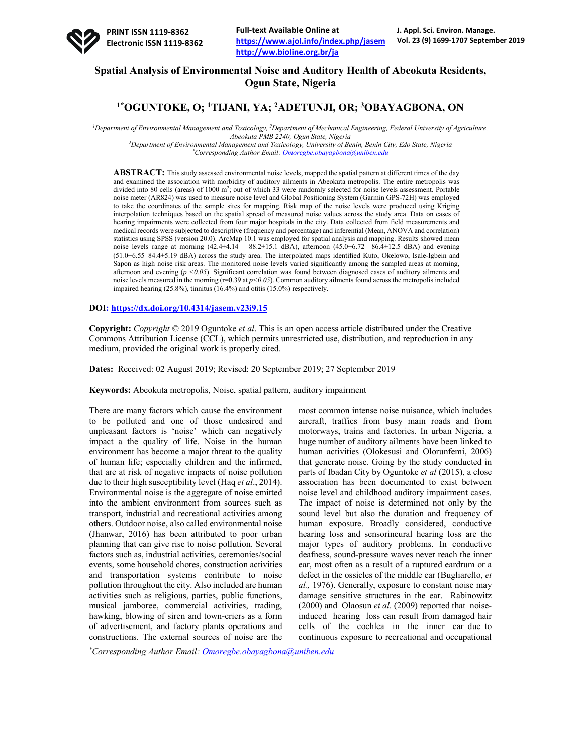

# **Spatial Analysis of Environmental Noise and Auditory Health of Abeokuta Residents, Ogun State, Nigeria**

## **1\*OGUNTOKE, O; 1TIJANI, YA; 2ADETUNJI, OR; 3 OBAYAGBONA, ON**

<sup>*l*</sup> Department of Environmental Management and Toxicology, <sup>2</sup>Department of Mechanical Engineering, Federal University of Agriculture, *Abeokuta PMB 2240, Ogun State, Nigeria*

*3 Department of Environmental Management and Toxicology, University of Benin, Benin City, Edo State, Nigeria \* Corresponding Author Email: Omoregbe.obayagbona@uniben.edu*

**ABSTRACT:** This study assessed environmental noise levels, mapped the spatial pattern at different times of the day and examined the association with morbidity of auditory ailments in Abeokuta metropolis. The entire metropolis was divided into 80 cells (areas) of 1000 m<sup>2</sup>; out of which 33 were randomly selected for noise levels assessment. Portable noise meter (AR824) was used to measure noise level and Global Positioning System (Garmin GPS-72H) was employed to take the coordinates of the sample sites for mapping. Risk map of the noise levels were produced using Kriging interpolation techniques based on the spatial spread of measured noise values across the study area. Data on cases of hearing impairments were collected from four major hospitals in the city. Data collected from field measurements and medical records were subjected to descriptive (frequency and percentage) and inferential (Mean, ANOVA and correlation) statistics using SPSS (version 20.0). ArcMap 10.1 was employed for spatial analysis and mapping. Results showed mean noise levels range at morning  $(42.4\pm4.14 - 88.2\pm15.1$  dBA), afternoon  $(45.0\pm6.72 - 86.4\pm12.5$  dBA) and evening (51.0±6.55–84.4±5.19 dBA) across the study area. The interpolated maps identified Kuto, Okelowo, Isale-Igbein and Sapon as high noise risk areas. The monitored noise levels varied significantly among the sampled areas at morning, afternoon and evening (*p <0.05*). Significant correlation was found between diagnosed cases of auditory ailments and noise levels measured in the morning (r=0.39 at *p*<0.05). Common auditory ailments found across the metropolis included impaired hearing (25.8%), tinnitus (16.4%) and otitis (15.0%) respectively.

**DOI: https://dx.doi.org/10.4314/jasem.v23i9.15**

**Copyright:** *Copyright* © 2019 Oguntoke *et al*. This is an open access article distributed under the Creative Commons Attribution License (CCL), which permits unrestricted use, distribution, and reproduction in any medium, provided the original work is properly cited.

**Dates:** Received: 02 August 2019; Revised: 20 September 2019; 27 September 2019

**Keywords:** Abeokuta metropolis, Noise, spatial pattern, auditory impairment

There are many factors which cause the environment to be polluted and one of those undesired and unpleasant factors is 'noise' which can negatively impact a the quality of life. Noise in the human environment has become a major threat to the quality of human life; especially children and the infirmed, that are at risk of negative impacts of noise pollution due to their high susceptibility level (Haq *et al*., 2014). Environmental noise is the aggregate of noise emitted into the ambient environment from sources such as transport, industrial and recreational activities among others. Outdoor noise, also called environmental noise (Jhanwar, 2016) has been attributed to poor urban planning that can give rise to noise pollution. Several factors such as, industrial activities, ceremonies/social events, some household chores, construction activities and transportation systems contribute to noise pollution throughout the city. Also included are human activities such as religious, parties, public functions, musical jamboree, commercial activities, trading, hawking, blowing of siren and town-criers as a form of advertisement, and factory plants operations and constructions. The external sources of noise are the

most common intense noise nuisance, which includes aircraft, traffics from busy main roads and from motorways, trains and factories. In urban Nigeria, a huge number of auditory ailments have been linked to human activities (Olokesusi and Olorunfemi, 2006) that generate noise. Going by the study conducted in parts of Ibadan City by Oguntoke *et al* (2015), a close association has been documented to exist between noise level and childhood auditory impairment cases. The impact of noise is determined not only by the sound level but also the duration and frequency of human exposure. Broadly considered, conductive hearing loss and sensorineural hearing loss are the major types of auditory problems. In conductive deafness, sound-pressure waves never reach the inner ear, most often as a result of a ruptured eardrum or a defect in the ossicles of the middle ear (Bugliarello, *et al.,* 1976). Generally, exposure to constant noise may damage sensitive structures in the ear. Rabinowitz (2000) and Olaosun *et al*. (2009) reported that noiseinduced hearing loss can result from damaged hair cells of the cochlea in the inner ear due to continuous exposure to recreational and occupational

*\* Corresponding Author Email: Omoregbe.obayagbona@uniben.edu*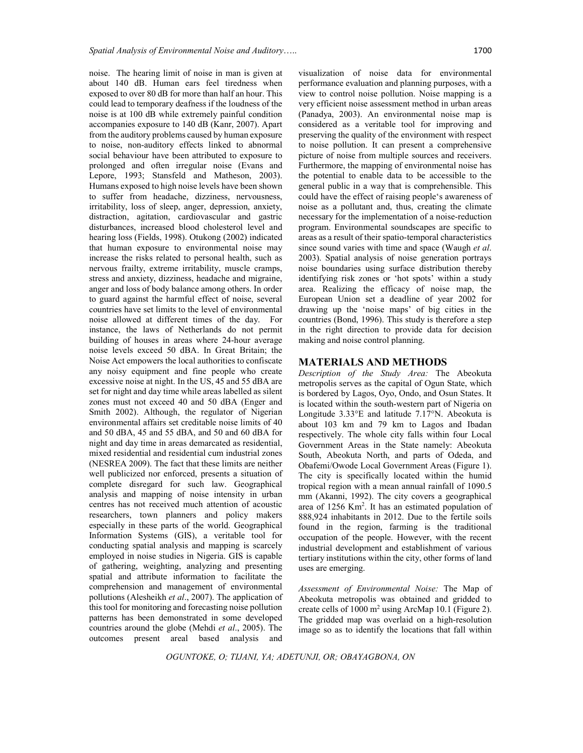noise. The hearing limit of noise in man is given at about 140 dB. Human ears feel tiredness when exposed to over 80 dB for more than half an hour. This could lead to temporary deafness if the loudness of the noise is at 100 dB while extremely painful condition accompanies exposure to 140 dB (Kanr, 2007). Apart from the auditory problems caused by human exposure to noise, non-auditory effects linked to abnormal social behaviour have been attributed to exposure to prolonged and often irregular noise (Evans and Lepore, 1993; Stansfeld and Matheson, 2003). Humans exposed to high noise levels have been shown to suffer from headache, dizziness, nervousness, irritability, loss of sleep, anger, depression, anxiety, distraction, agitation, cardiovascular and gastric disturbances, increased blood cholesterol level and hearing loss (Fields, 1998). Otukong (2002) indicated that human exposure to environmental noise may increase the risks related to personal health, such as nervous frailty, extreme irritability, muscle cramps, stress and anxiety, dizziness, headache and migraine, anger and loss of body balance among others. In order to guard against the harmful effect of noise, several countries have set limits to the level of environmental noise allowed at different times of the day. For instance, the laws of Netherlands do not permit building of houses in areas where 24-hour average noise levels exceed 50 dBA. In Great Britain; the Noise Act empowers the local authorities to confiscate any noisy equipment and fine people who create excessive noise at night. In the US, 45 and 55 dBA are set for night and day time while areas labelled as silent zones must not exceed 40 and 50 dBA (Enger and Smith 2002). Although, the regulator of Nigerian environmental affairs set creditable noise limits of 40 and 50 dBA, 45 and 55 dBA, and 50 and 60 dBA for night and day time in areas demarcated as residential, mixed residential and residential cum industrial zones (NESREA 2009). The fact that these limits are neither well publicized nor enforced, presents a situation of complete disregard for such law. Geographical analysis and mapping of noise intensity in urban centres has not received much attention of acoustic researchers, town planners and policy makers especially in these parts of the world. Geographical Information Systems (GIS), a veritable tool for conducting spatial analysis and mapping is scarcely employed in noise studies in Nigeria. GIS is capable of gathering, weighting, analyzing and presenting spatial and attribute information to facilitate the comprehension and management of environmental pollutions (Alesheikh *et al*., 2007). The application of this tool for monitoring and forecasting noise pollution patterns has been demonstrated in some developed countries around the globe (Mehdi *et al*., 2005). The outcomes present areal based analysis and

visualization of noise data for environmental performance evaluation and planning purposes, with a view to control noise pollution. Noise mapping is a very efficient noise assessment method in urban areas (Panadya, 2003). An environmental noise map is considered as a veritable tool for improving and preserving the quality of the environment with respect to noise pollution. It can present a comprehensive picture of noise from multiple sources and receivers. Furthermore, the mapping of environmental noise has the potential to enable data to be accessible to the general public in a way that is comprehensible. This could have the effect of raising people's awareness of noise as a pollutant and, thus, creating the climate necessary for the implementation of a noise-reduction program. Environmental soundscapes are specific to areas as a result of their spatio-temporal characteristics since sound varies with time and space (Waugh *et al*. 2003). Spatial analysis of noise generation portrays noise boundaries using surface distribution thereby identifying risk zones or 'hot spots' within a study area. Realizing the efficacy of noise map, the European Union set a deadline of year 2002 for drawing up the 'noise maps' of big cities in the countries (Bond, 1996). This study is therefore a step in the right direction to provide data for decision making and noise control planning.

#### **MATERIALS AND METHODS**

*Description of the Study Area:* The Abeokuta metropolis serves as the capital of Ogun State, which is bordered by Lagos, Oyo, Ondo, and Osun States. It is located within the south-western part of Nigeria on Longitude 3.33°E and latitude 7.17°N. Abeokuta is about 103 km and 79 km to Lagos and Ibadan respectively. The whole city falls within four Local Government Areas in the State namely: Abeokuta South, Abeokuta North, and parts of Odeda, and Obafemi/Owode Local Government Areas (Figure 1). The city is specifically located within the humid tropical region with a mean annual rainfall of 1090.5 mm (Akanni, 1992). The city covers a geographical area of 1256 Km2 . It has an estimated population of 888,924 inhabitants in 2012. Due to the fertile soils found in the region, farming is the traditional occupation of the people. However, with the recent industrial development and establishment of various tertiary institutions within the city, other forms of land uses are emerging.

*Assessment of Environmental Noise:* The Map of Abeokuta metropolis was obtained and gridded to create cells of  $1000 \text{ m}^2$  using ArcMap 10.1 (Figure 2). The gridded map was overlaid on a high-resolution image so as to identify the locations that fall within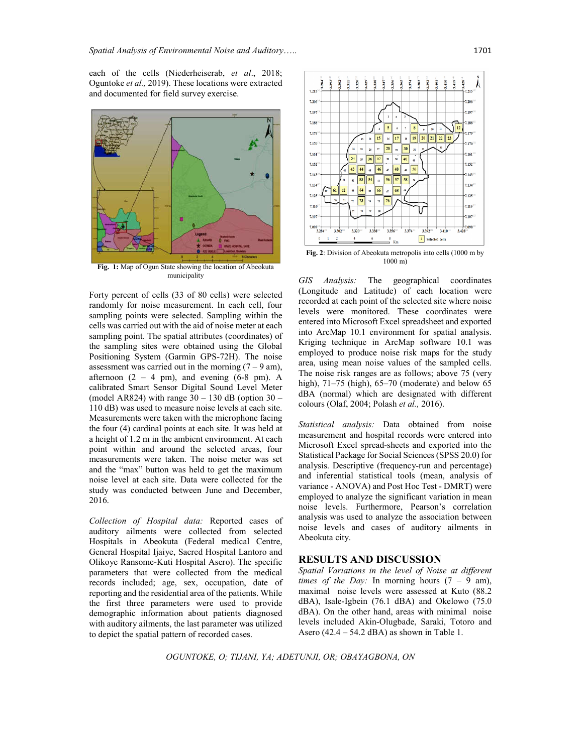each of the cells (Niederheiserab, *et al*., 2018; Oguntoke *et al.,* 2019). These locations were extracted and documented for field survey exercise.



**Fig. 1:** Map of Ogun State showing the location of Abeokuta municipality

Forty percent of cells (33 of 80 cells) were selected randomly for noise measurement. In each cell, four sampling points were selected. Sampling within the cells was carried out with the aid of noise meter at each sampling point. The spatial attributes (coordinates) of the sampling sites were obtained using the Global Positioning System (Garmin GPS-72H). The noise assessment was carried out in the morning  $(7 - 9)$  am), afternoon  $(2 - 4 \text{ pm})$ , and evening  $(6-8 \text{ pm})$ . A calibrated Smart Sensor Digital Sound Level Meter (model AR824) with range  $30 - 130$  dB (option  $30 -$ 110 dB) was used to measure noise levels at each site. Measurements were taken with the microphone facing the four (4) cardinal points at each site. It was held at a height of 1.2 m in the ambient environment. At each point within and around the selected areas, four measurements were taken. The noise meter was set and the "max" button was held to get the maximum noise level at each site. Data were collected for the study was conducted between June and December, 2016.

*Collection of Hospital data:* Reported cases of auditory ailments were collected from selected Hospitals in Abeokuta (Federal medical Centre, General Hospital Ijaiye, Sacred Hospital Lantoro and Olikoye Ransome-Kuti Hospital Asero). The specific parameters that were collected from the medical records included; age, sex, occupation, date of reporting and the residential area of the patients. While the first three parameters were used to provide demographic information about patients diagnosed with auditory ailments, the last parameter was utilized to depict the spatial pattern of recorded cases.



**Fig. 2**: Division of Abeokuta metropolis into cells (1000 m by 1000 m)

*GIS Analysis:* The geographical coordinates (Longitude and Latitude) of each location were recorded at each point of the selected site where noise levels were monitored. These coordinates were entered into Microsoft Excel spreadsheet and exported into ArcMap 10.1 environment for spatial analysis. Kriging technique in ArcMap software 10.1 was employed to produce noise risk maps for the study area, using mean noise values of the sampled cells. The noise risk ranges are as follows; above 75 (very high),  $71-75$  (high),  $65-70$  (moderate) and below  $65$ dBA (normal) which are designated with different colours (Olaf, 2004; Polash *et al.,* 2016).

*Statistical analysis:* Data obtained from noise measurement and hospital records were entered into Microsoft Excel spread-sheets and exported into the Statistical Package for Social Sciences (SPSS 20.0) for analysis. Descriptive (frequency-run and percentage) and inferential statistical tools (mean, analysis of variance - ANOVA) and Post Hoc Test - DMRT) were employed to analyze the significant variation in mean noise levels. Furthermore, Pearson's correlation analysis was used to analyze the association between noise levels and cases of auditory ailments in Abeokuta city.

### **RESULTS AND DISCUSSION**

*Spatial Variations in the level of Noise at different times of the Day:* In morning hours (7 – 9 am), maximal noise levels were assessed at Kuto (88.2 dBA), Isale-Igbein (76.1 dBA) and Okelowo (75.0 dBA). On the other hand, areas with minimal noise levels included Akin-Olugbade, Saraki, Totoro and Asero  $(42.4 - 54.2$  dBA) as shown in Table 1.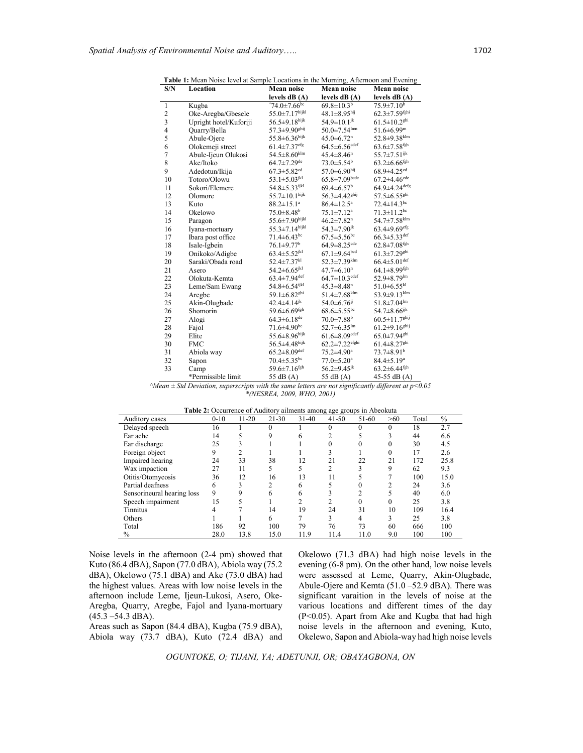| S/N                      | Location               | Mean noise                      | <b>Mean noise</b>               | Mean noise                      |  |
|--------------------------|------------------------|---------------------------------|---------------------------------|---------------------------------|--|
|                          |                        | levels $dB(A)$                  | levels $dB(A)$                  | levels dB (A)                   |  |
| $\mathbf{1}$             | Kugba                  | $^{\circ}74.0 \pm 7.66$ bc      | $69.8 \pm 10.3$ <sup>b</sup>    | $75.9 \pm 7.10^b$               |  |
|                          | Oke-Aregba/Gbesele     | 55.0±7.17hijkl                  | $48.1 \pm 8.95$ hij             | $62.3 \pm 7.59$ fghi            |  |
| $\frac{2}{3}$            | Upright hotel/Kuforiji | 56.5±9.18hijk                   | $54.9 \pm 10.1$ <sup>jk</sup>   | $61.5 \pm 10.2$ <sup>ghi</sup>  |  |
| $\overline{\mathcal{L}}$ | Quarry/Bella           | $57.3 \pm 9.90$ <sup>ghij</sup> | $50.0 \pm 7.54$ <sup>lmn</sup>  | $51.6 \pm 6.99$ <sup>m</sup>    |  |
| 5                        | Abule-Ojere            | $55.8 \pm 6.36^{\rm hijk}$      | $45.0 \pm 6.72$ <sup>n</sup>    | $52.8 \pm 9.38$ klm             |  |
| 6                        | Olokemeji street       | $61.4{\pm}7.37^{\rm efg}$       | $64.5 \pm 6.56$ <sup>cdef</sup> | $63.6 \pm 7.58$ <sup>fgh</sup>  |  |
| $\overline{7}$           | Abule-Ijeun Olukosi    | $54.5\pm8.60^{\mathrm{klm}}$    | $45.4 \pm 8.46$ <sup>n</sup>    | 55.7±7.51ijk                    |  |
| 8                        | Ake/Itoko              | $64.7 \pm 7.29$ <sup>de</sup>   | $73.0 \pm 5.54^{\circ}$         | $63.2 \pm 6.66$ <sup>fgh</sup>  |  |
| 9                        | Adedotun/Ikija         | $67.3 \pm 5.82$ <sup>cd</sup>   | $57.0 \pm 6.90$ hij             | $68.9 \pm 4.25$ <sup>cd</sup>   |  |
| 10                       | Totoro/Olowu           | 53.1 $\pm$ 5.03 <sup>jkl</sup>  | $65.8 \pm 7.09$ bcde            | $67.2 \pm 4.46$ cde             |  |
| 11                       | Sokori/Elemere         | 54.8±5.33ijkl                   | $69.4 \pm 6.57$ <sup>b</sup>    | $64.9 \pm 4.24$ <sup>defg</sup> |  |
| 12                       | Olomore                | $55.7 \pm 10.1$ <sup>hijk</sup> | $56.3 \pm 4.42$ <sup>ghij</sup> | $57.5 \pm 6.55$ <sup>ghi</sup>  |  |
| 13                       | Kuto                   | $88.2 \pm 15.1^a$               | $86.4 \pm 12.5^{\text{a}}$      | $72.4 \pm 14.3$ <sup>bc</sup>   |  |
| 14                       | Okelowo                | $75.0 \pm 8.48^b$               | $75.1 \pm 7.12^a$               | $71.3 \pm 11.2$ bc              |  |
| 15                       | Paragon                | $55.6 \pm 7.90$ hijkl           | $46.2 \pm 7.82$ <sup>n</sup>    | $54.7 \pm 7.58$ <sup>klm</sup>  |  |
| 16                       | Iyana-mortuary         | $55.3 \pm 7.14$ hijkl           | $54.3 \pm 7.90$ <sup>jk</sup>   | $63.4 \pm 9.69$ efg             |  |
| 17                       | Ibara post office      | $71.4 \pm 6.43$ bc              | $67.5 \pm 5.56$ <sup>bc</sup>   | $66.3 \pm 5.33$ def             |  |
| 18                       | Isale-Igbein           | $76.1 \pm 9.77$ <sup>b</sup>    | $64.9 \pm 8.25$ <sup>cde</sup>  | $62.8 \pm 7.08$ <sup>fgh</sup>  |  |
| 19                       | Onikoko/Adigbe         | $63.4 \pm 5.52$ <sup>jkl</sup>  | $67.1 \pm 9.64$ bcd             | $61.3 \pm 7.29$ <sup>ghi</sup>  |  |
| 20                       | Saraki/Obada road      | 52.4±7.37kl                     | $52.3 \pm 7.39$ klm             | $66.4 \pm 5.01$ def             |  |
| 21                       | Asero                  | $54.2 \pm 6.65^{jkl}$           | $47.7 \pm 6.10$ <sup>n</sup>    | $64.1 \pm 8.99$ <sup>fgh</sup>  |  |
| 22                       | Olokuta-Kemta          | $63.4 \pm 7.94$ <sup>def</sup>  | $64.7 \pm 10.3$ cdef            | $52.9 \pm 8.79$ lm              |  |
| 23                       | Leme/Sam Ewang         | 54.8±6.54ijkl                   | $45.3 \pm 8.48$ <sup>n</sup>    | $51.0 \pm 6.55$ kl              |  |
| 24                       | Aregbe                 | $59.1 \pm 6.82$ <sup>ghi</sup>  | $51.4 \pm 7.68$ <sup>klm</sup>  | $53.9 \pm 9.13$ <sup>klm</sup>  |  |
| 25                       | Akin-Olugbade          | $42.4 \pm 4.14^{jk}$            | $54.0 \pm 6.76$ <sup>ij</sup>   | $51.8 \pm 7.04^{\text{lm}}$     |  |
| 26                       | Shomorin               | $59.6 \pm 6.69$ <sup>fgh</sup>  | $68.6 \pm 5.55$ <sup>bc</sup>   | 54.7±8.66ijk                    |  |
| 27                       | Alogi                  | $64.3 \pm 6.18$ <sup>de</sup>   | $70.0 \pm 7.88$ <sup>b</sup>    | $60.5 \pm 11.7$ <sup>ghij</sup> |  |
| 28                       | Fajol                  | $71.6 \pm 4.90$ bc              | $52.7 \pm 6.35^{\text{lm}}$     | $61.2 \pm 9.16$ <sup>ghij</sup> |  |
| 29                       | Elite                  | $55.6 \pm 8.96^{\text{hijk}}$   | $61.6 \pm 8.09$ cdef            | $65.0 \pm 7.94$ <sup>ghi</sup>  |  |
| 30                       | <b>FMC</b>             | 56.5±4.48hijk                   | $62.2 \pm 7.22$ efghi           | $61.4 \pm 8.27$ <sup>ghi</sup>  |  |
| 31                       | Abiola way             | $65.2 \pm 8.09$ def             | $75.2 \pm 4.90^a$               | $73.7 \pm 8.91$ <sup>b</sup>    |  |
| 32                       | Sapon                  | $70.4 \pm 5.35^{\rm bc}$        | $77.0 \pm 5.20^{\circ}$         | $84.4 \pm 5.19^a$               |  |
| 33                       | Camp                   | 59.6 $\pm$ 7.16 <sup>fgh</sup>  | $56.2 \pm 9.45$ <sup>jk</sup>   | $63.2 \pm 6.44$ <sup>fgh</sup>  |  |
|                          | *Permissible limit     | 55 dB (A)                       | 55 dB (A)                       | 45-55 dB $(A)$                  |  |

**Table 1:** Mean Noise level at Sample Locations in the Morning, Afternoon and Evening

*^Mean ± Std Deviation, superscripts with the same letters are not significantly different at p<0.05 \*(NESREA, 2009, WHO, 2001)*

| Table 2: Occurrence of Auditory ailments among age groups in Abeokuta |        |           |          |           |                |          |     |       |               |  |  |
|-----------------------------------------------------------------------|--------|-----------|----------|-----------|----------------|----------|-----|-------|---------------|--|--|
| Auditory cases                                                        | $0-10$ | $11 - 20$ | $21-30$  | $31 - 40$ | $41 - 50$      | 51-60    | >60 | Total | $\frac{0}{0}$ |  |  |
| Delayed speech                                                        | 16     |           | $\theta$ |           | 0              |          | 0   | 18    | 2.7           |  |  |
| Ear ache                                                              | 14     |           | 9        | 6         |                |          |     | 44    | 6.6           |  |  |
| Ear discharge                                                         | 25     |           |          |           |                |          |     | 30    | 4.5           |  |  |
| Foreign object                                                        | 9      | 2         |          |           |                |          |     | 17    | 2.6           |  |  |
| Impaired hearing                                                      | 24     | 33        | 38       | 12        | 21             | 22       | 21  | 172   | 25.8          |  |  |
| Wax impaction                                                         | 27     | 11        |          |           | 2              |          | 9   | 62    | 9.3           |  |  |
| Otitis/Otomycosis                                                     | 36     | 12        | 16       | 13        | 11             |          |     | 100   | 15.0          |  |  |
| Partial deafness                                                      | 6      | 3         | 2        | 6         |                |          |     | 24    | 3.6           |  |  |
| Sensorineural hearing loss                                            | 9      | 9         | 6        |           |                |          |     | 40    | 6.0           |  |  |
| Speech impairment                                                     | 15     |           |          | ↑         | $\overline{c}$ | $\theta$ |     | 25    | 3.8           |  |  |
| Tinnitus                                                              |        |           | 14       | 19        | 24             | 31       | 10  | 109   | 16.4          |  |  |
| Others                                                                |        |           | 6        |           | 3              | 4        | 3   | 25    | 3.8           |  |  |
| Total                                                                 | 186    | 92        | 100      | 79        | 76             | 73       | 60  | 666   | 100           |  |  |
| $\%$                                                                  | 28.0   | 13.8      | 15.0     | 11.9      | 11.4           | 11.0     | 9.0 | 100   | 100           |  |  |

Noise levels in the afternoon (2-4 pm) showed that Kuto (86.4 dBA), Sapon (77.0 dBA), Abiola way (75.2 dBA), Okelowo (75.1 dBA) and Ake (73.0 dBA) had the highest values. Areas with low noise levels in the afternoon include Leme, Ijeun-Lukosi, Asero, Oke-Aregba, Quarry, Aregbe, Fajol and Iyana-mortuary  $(45.3 - 54.3$  dBA).

Areas such as Sapon (84.4 dBA), Kugba (75.9 dBA), Abiola way (73.7 dBA), Kuto (72.4 dBA) and Okelowo (71.3 dBA) had high noise levels in the evening (6-8 pm). On the other hand, low noise levels were assessed at Leme, Quarry, Akin-Olugbade, Abule-Ojere and Kemta (51.0 –52.9 dBA). There was significant varaition in the levels of noise at the various locations and different times of the day (P<0.05). Apart from Ake and Kugba that had high noise levels in the afternoon and evening, Kuto, Okelewo, Sapon and Abiola-way had high noise levels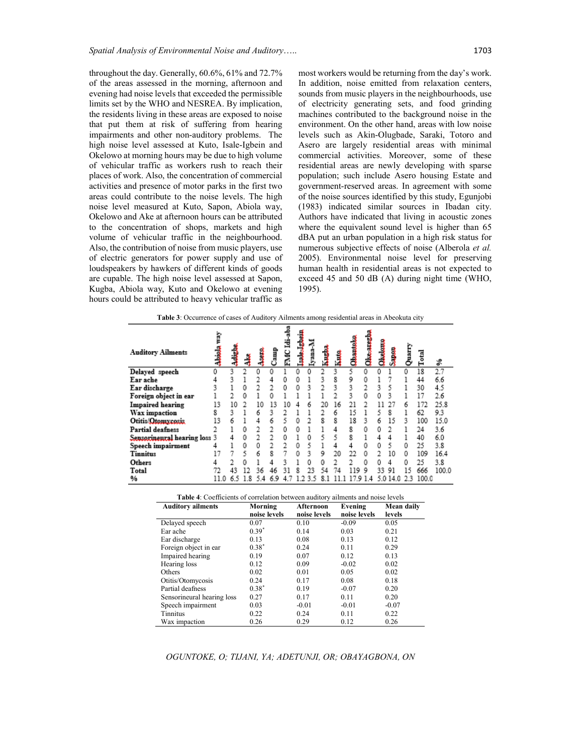throughout the day. Generally, 60.6%, 61% and 72.7% of the areas assessed in the morning, afternoon and evening had noise levels that exceeded the permissible limits set by the WHO and NESREA. By implication, the residents living in these areas are exposed to noise that put them at risk of suffering from hearing impairments and other non-auditory problems. The high noise level assessed at Kuto, Isale-Igbein and Okelowo at morning hours may be due to high volume of vehicular traffic as workers rush to reach their places of work. Also, the concentration of commercial activities and presence of motor parks in the first two areas could contribute to the noise levels. The high noise level measured at Kuto, Sapon, Abiola way, Okelowo and Ake at afternoon hours can be attributed to the concentration of shops, markets and high volume of vehicular traffic in the neighbourhood. Also, the contribution of noise from music players, use of electric generators for power supply and use of loudspeakers by hawkers of different kinds of goods are cupable. The high noise level assessed at Sapon, Kugba, Abiola way, Kuto and Okelowo at evening hours could be attributed to heavy vehicular traffic as most workers would be returning from the day's work. In addition, noise emitted from relaxation centers, sounds from music players in the neighbourhoods, use of electricity generating sets, and food grinding machines contributed to the background noise in the environment. On the other hand, areas with low noise levels such as Akin-Olugbade, Saraki, Totoro and Asero are largely residential areas with minimal commercial activities. Moreover, some of these residential areas are newly developing with sparse population; such include Asero housing Estate and government-reserved areas. In agreement with some of the noise sources identified by this study, Egunjobi (1983) indicated similar sources in Ibadan city. Authors have indicated that living in acoustic zones where the equivalent sound level is higher than 65 dBA put an urban population in a high risk status for numerous subjective effects of noise (Alberola *et al.*  2005). Environmental noise level for preserving human health in residential areas is not expected to exceed 45 and 50 dB (A) during night time (WHO, 1995).

| <b>Table 3:</b> Occurrence of cases of Auditory Ailments among residential areas in Abeokuta city |  |  |
|---------------------------------------------------------------------------------------------------|--|--|
|---------------------------------------------------------------------------------------------------|--|--|

| <b>Auditory Ailments</b>     | ζEΜ<br>المسلسلة.<br>أحداث | يليسنه |   | 1  | Camp   | 骂<br>FMC | 一 | Lyana-A | <b>Read</b> | 1  | Chantolo | فسمعتك     | مسلملا | j        | Quarry | Total | \$    |
|------------------------------|---------------------------|--------|---|----|--------|----------|---|---------|-------------|----|----------|------------|--------|----------|--------|-------|-------|
| Delayed speech               | 0                         | q      |   | 0  | 0      |          | 0 | 0       |             | q  |          | 0          | 0      |          | 0      | 18    | 2.7   |
| Ear ache                     | 4                         | ٩      |   |    |        | 0        | 0 |         | ٩           | 8  | 9        | 0          |        |          |        | 44    | 6.6   |
| Ear discharge                | q                         |        | 0 |    |        | 0        | ٥ | q       |             | ą  | ٩        |            | q      | 5        |        | 30    | 4.5   |
| Foreign object in ear        |                           |        |   |    |        |          |   |         |             |    | ٩        | 0          | Ω      | ٩        |        |       | 2.6   |
| <b>Impaired</b> hearing      | 13                        | 10     |   | 10 | 13     | 10       |   |         |             | 16 | 21       |            |        |          |        | 172   | 25.8  |
| Wax impaction                | 8                         | q      |   | 6  | q      |          |   |         |             | 6  | 15       |            | 5      | R        |        | 62    | 9.3   |
| Otitis/Otomxcosis            | 13                        | 6      |   | 4  | 6      | 5        | 0 |         | 8           | 8  | 18       | q          | 6      | 15       | q      | 100   | 15.0  |
| Partial deafness             |                           |        | 0 |    |        | Ω        | Ω |         |             | 4  | R        | 0          | Ω      |          |        | 24    | 3.6   |
| Sensorineural hearing loss 3 |                           | 4      | 0 |    |        | 0        |   | Ω       | 5           | 5  | 8        |            | 4      | 4        |        | 40    | 6.0   |
| Speech impairment            |                           |        | 0 | 0  |        | 2        | 0 | 5       |             | 4  | 4        | 0          | 0      | 5        | 0      | 25    | 3.8   |
| <b>Tinnitus</b>              |                           |        | 5 | 6  | g      |          | Ω | q       | 9           | 20 | 22       | 0          |        | 10       | 0      | 109   | 16.4  |
| Others                       | 4                         |        | n |    |        |          |   | 0       | 0           |    |          | 0          | Ω      | 4        | Ω      | 25    | 3.8   |
| Total                        | 72                        | 43     |   | 36 |        |          |   | ንマ      |             | 74 | 119      | 9          | ٩٩     | 91       | 15     | 666   | 100.0 |
| %                            | 11.0                      | 6.5    | 8 | δ  | 9<br>6 |          |   | R       | 8           |    |          | .9 1.<br>4 |        | 5.0 14.0 | 23     | 100.0 |       |

| <b>Table 4:</b> Coefficients of correlation between auditory ailments and noise levels |  |  |
|----------------------------------------------------------------------------------------|--|--|
|                                                                                        |  |  |

| <b>Auditory ailments</b>   | Morning      | Afternoon    |              | Mean daily |  |
|----------------------------|--------------|--------------|--------------|------------|--|
|                            | noise levels | noise levels | noise levels | levels     |  |
| Delayed speech             | 0.07         | 0.10         | $-0.09$      | 0.05       |  |
| Ear ache                   | $0.39*$      | 0.14         | 0.03         | 0.21       |  |
| Ear discharge              | 0.13         | 0.08         | 0.13         | 0.12       |  |
| Foreign object in ear      | $0.38*$      | 0.24         | 0.11         | 0.29       |  |
| Impaired hearing           | 0.19         | 0.07         | 0.12         | 0.13       |  |
| Hearing loss               | 0.12         | 0.09         | $-0.02$      | 0.02       |  |
| Others                     | 0.02         | 0.01         | 0.05         | 0.02       |  |
| Otitis/Otomycosis          | 0.24         | 0.17         | 0.08         | 0.18       |  |
| Partial deafness           | $0.38*$      | 0.19         | $-0.07$      | 0.20       |  |
| Sensorineural hearing loss | 0.27         | 0.17         | 0.11         | 0.20       |  |
| Speech impairment          | 0.03         | $-0.01$      | $-0.01$      | $-0.07$    |  |
| Tinnitus                   | 0.22         | 0.24         | 0.11         | 0.22       |  |
| Wax impaction              | 0.26         | 0.29         | 0.12         | 0.26       |  |

*OGUNTOKE, O; TIJANI, YA; ADETUNJI, OR; OBAYAGBONA, ON*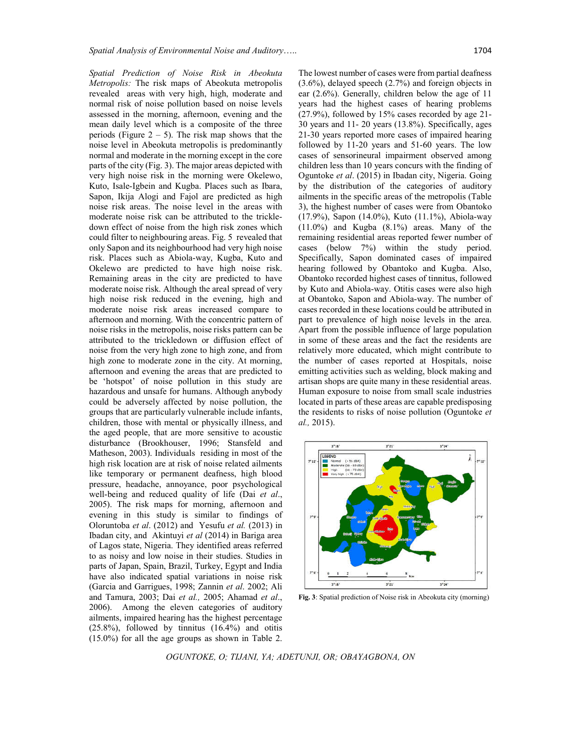*Spatial Prediction of Noise Risk in Abeokuta Metropolis:* The risk maps of Abeokuta metropolis revealed areas with very high, high, moderate and normal risk of noise pollution based on noise levels assessed in the morning, afternoon, evening and the The lowest number of cases were from partial deafness (3.6%), delayed speech (2.7%) and foreign objects in

mean daily level which is a composite of the three periods (Figure  $2 - 5$ ). The risk map shows that the noise level in Abeokuta metropolis is predominantly normal and moderate in the morning except in the core parts of the city (Fig. 3). The major areas depicted with very high noise risk in the morning were Okelewo, Kuto, Isale-Igbein and Kugba. Places such as Ibara, Sapon, Ikija Alogi and Fajol are predicted as high noise risk areas. The noise level in the areas with moderate noise risk can be attributed to the trickledown effect of noise from the high risk zones which could filter to neighbouring areas. Fig. 5 revealed that only Sapon and its neighbourhood had very high noise risk. Places such as Abiola-way, Kugba, Kuto and Okelewo are predicted to have high noise risk. Remaining areas in the city are predicted to have moderate noise risk. Although the areal spread of very high noise risk reduced in the evening, high and moderate noise risk areas increased compare to afternoon and morning. With the concentric pattern of noise risks in the metropolis, noise risks pattern can be attributed to the trickledown or diffusion effect of noise from the very high zone to high zone, and from high zone to moderate zone in the city. At morning, afternoon and evening the areas that are predicted to be 'hotspot' of noise pollution in this study are hazardous and unsafe for humans. Although anybody could be adversely affected by noise pollution, the groups that are particularly vulnerable include infants, children, those with mental or physically illness, and the aged people, that are more sensitive to acoustic disturbance (Brookhouser, 1996; Stansfeld and Matheson, 2003). Individuals residing in most of the high risk location are at risk of noise related ailments like temporary or permanent deafness, high blood pressure, headache, annoyance, poor psychological well-being and reduced quality of life (Dai *et al*., 2005). The risk maps for morning, afternoon and evening in this study is similar to findings of Oloruntoba *et al*. (2012) and Yesufu *et al.* (2013) in Ibadan city, and Akintuyi *et al* (2014) in Bariga area of Lagos state, Nigeria. They identified areas referred to as noisy and low noise in their studies. Studies in parts of Japan, Spain, Brazil, Turkey, Egypt and India have also indicated spatial variations in noise risk (Garcia and Garrigues, 1998; Zannin *et al*. 2002; Ali and Tamura, 2003; Dai *et al.,* 2005; Ahamad *et al*., 2006). Among the eleven categories of auditory ailments, impaired hearing has the highest percentage (25.8%), followed by tinnitus (16.4%) and otitis (15.0%) for all the age groups as shown in Table 2. ear (2.6%). Generally, children below the age of 11 years had the highest cases of hearing problems (27.9%), followed by 15% cases recorded by age 21- 30 years and 11- 20 years (13.8%). Specifically, ages 21-30 years reported more cases of impaired hearing followed by 11-20 years and 51-60 years. The low cases of sensorineural impairment observed among children less than 10 years concurs with the finding of Oguntoke *et al*. (2015) in Ibadan city, Nigeria. Going by the distribution of the categories of auditory ailments in the specific areas of the metropolis (Table 3), the highest number of cases were from Obantoko (17.9%), Sapon (14.0%), Kuto (11.1%), Abiola-way (11.0%) and Kugba (8.1%) areas. Many of the remaining residential areas reported fewer number of cases (below 7%) within the study period. Specifically, Sapon dominated cases of impaired hearing followed by Obantoko and Kugba. Also, Obantoko recorded highest cases of tinnitus, followed by Kuto and Abiola-way. Otitis cases were also high at Obantoko, Sapon and Abiola-way. The number of cases recorded in these locations could be attributed in part to prevalence of high noise levels in the area. Apart from the possible influence of large population in some of these areas and the fact the residents are relatively more educated, which might contribute to the number of cases reported at Hospitals, noise emitting activities such as welding, block making and artisan shops are quite many in these residential areas. Human exposure to noise from small scale industries located in parts of these areas are capable predisposing the residents to risks of noise pollution (Oguntoke *et al.,* 2015).



**Fig. 3**: Spatial prediction of Noise risk in Abeokuta city (morning)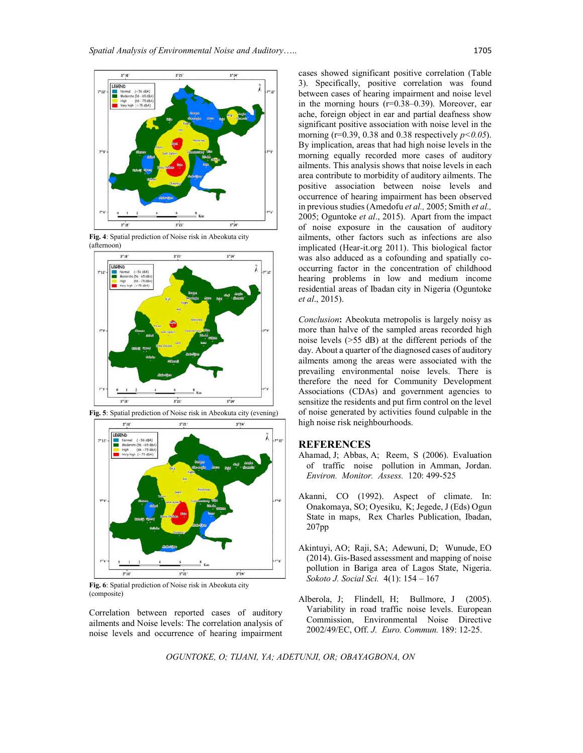

**Fig. 4**: Spatial prediction of Noise risk in Abeokuta city (afternoon)





**Fig. 5**: Spatial prediction of Noise risk in Abeokuta city (evening)

**Fig. 6**: Spatial prediction of Noise risk in Abeokuta city (composite)

Correlation between reported cases of auditory ailments and Noise levels: The correlation analysis of noise levels and occurrence of hearing impairment cases showed significant positive correlation (Table 3). Specifically, positive correlation was found between cases of hearing impairment and noise level in the morning hours (r=0.38–0.39). Moreover, ear ache, foreign object in ear and partial deafness show significant positive association with noise level in the morning ( $r=0.39$ , 0.38 and 0.38 respectively  $p<0.05$ ). By implication, areas that had high noise levels in the morning equally recorded more cases of auditory ailments. This analysis shows that noise levels in each area contribute to morbidity of auditory ailments. The positive association between noise levels and occurrence of hearing impairment has been observed in previous studies (Amedofu *et al.,* 2005; Smith *et al.,* 2005; Oguntoke *et al*., 2015). Apart from the impact of noise exposure in the causation of auditory ailments, other factors such as infections are also implicated (Hear-it.org 2011). This biological factor was also adduced as a cofounding and spatially cooccurring factor in the concentration of childhood hearing problems in low and medium income residential areas of Ibadan city in Nigeria (Oguntoke *et al*., 2015).

*Conclusion***:** Abeokuta metropolis is largely noisy as more than halve of the sampled areas recorded high noise levels (>55 dB) at the different periods of the day. About a quarter of the diagnosed cases of auditory ailments among the areas were associated with the prevailing environmental noise levels. There is therefore the need for Community Development Associations (CDAs) and government agencies to sensitize the residents and put firm control on the level of noise generated by activities found culpable in the high noise risk neighbourhoods.

#### **REFERENCES**

- Ahamad, J; Abbas, A; Reem, S (2006). Evaluation of traffic noise pollution in Amman, Jordan. *Environ. Monitor. Assess.* 120: 499-525
- Akanni, CO (1992). Aspect of climate. In: Onakomaya, SO; Oyesiku, K; Jegede, J (Eds) Ogun State in maps, Rex Charles Publication, Ibadan, 207pp
- Akintuyi, AO; Raji, SA; Adewuni, D; Wunude, EO (2014). Gis-Based assessment and mapping of noise pollution in Bariga area of Lagos State, Nigeria. *Sokoto J. Social Sci.* 4(1): 154 – 167
- Alberola, J; Flindell, H; Bullmore, J (2005). Variability in road traffic noise levels. European Commission, Environmental Noise Directive 2002/49/EC, Off. *J. Euro. Commun.* 189: 12-25.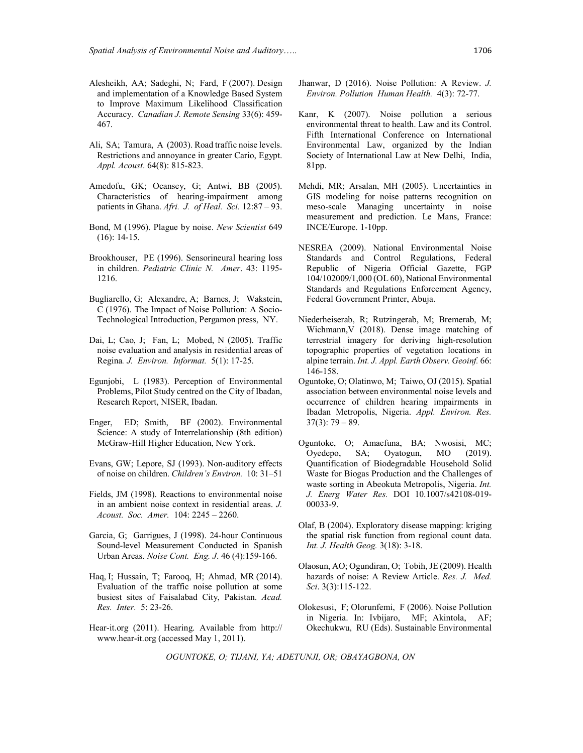- Alesheikh, AA; Sadeghi, N; Fard, F (2007). Design and implementation of a Knowledge Based System to Improve Maximum Likelihood Classification Accuracy. *Canadian J. Remote Sensing* 33(6): 459- 467.
- Ali, SA; Tamura, A (2003). Road traffic noise levels. Restrictions and annoyance in greater Cario, Egypt. *Appl. Acoust*. 64(8): 815-823.
- Amedofu, GK; Ocansey, G; Antwi, BB (2005). Characteristics of hearing-impairment among patients in Ghana. *Afri. J. of Heal. Sci.* 12:87 – 93.
- Bond, M (1996). Plague by noise. *New Scientist* 649 (16): 14-15.
- Brookhouser, PE (1996). Sensorineural hearing loss in children. *Pediatric Clinic N. Amer*. 43: 1195- 1216.
- Bugliarello, G; Alexandre, A; Barnes, J; Wakstein, C (1976). The Impact of Noise Pollution: A Socio-Technological Introduction, Pergamon press, NY.
- Dai, L; Cao, J; Fan, L; Mobed, N (2005). Traffic noise evaluation and analysis in residential areas of Regina*. J. Environ. Informat.* 5(1): 17-25.
- Egunjobi, L (1983). Perception of Environmental Problems, Pilot Study centred on the City of Ibadan, Research Report, NISER, Ibadan.
- Enger, ED; Smith, BF (2002). Environmental Science: A study of Interrelationship (8th edition) McGraw-Hill Higher Education, New York.
- Evans, GW; Lepore, SJ (1993). Non-auditory effects of noise on children. *Children's Environ.* 10: 31–51
- Fields, JM (1998). Reactions to environmental noise in an ambient noise context in residential areas. *J. Acoust. Soc. Amer.* 104: 2245 – 2260.
- Garcia, G; Garrigues, J (1998). 24-hour Continuous Sound-level Measurement Conducted in Spanish Urban Areas. *Noise Cont. Eng. J*. 46 (4):159-166.
- Haq, I; Hussain, T; Farooq, H; Ahmad, MR (2014). Evaluation of the traffic noise pollution at some busiest sites of Faisalabad City, Pakistan. *Acad. Res. Inter.* 5: 23-26.
- Hear-it.org (2011). Hearing. Available from http:// www.hear-it.org (accessed May 1, 2011).
- Jhanwar, D (2016). Noise Pollution: A Review. *J. Environ. Pollution Human Health.* 4(3): 72-77.
- Kanr, K (2007). Noise pollution a serious environmental threat to health. Law and its Control. Fifth International Conference on International Environmental Law, organized by the Indian Society of International Law at New Delhi, India, 81pp.
- Mehdi, MR; Arsalan, MH (2005). Uncertainties in GIS modeling for noise patterns recognition on meso-scale Managing uncertainty in noise measurement and prediction. Le Mans, France: INCE/Europe. 1-10pp.
- NESREA (2009). National Environmental Noise Standards and Control Regulations, Federal Republic of Nigeria Official Gazette, FGP 104/102009/1,000 (OL 60), National Environmental Standards and Regulations Enforcement Agency, Federal Government Printer, Abuja.
- Niederheiserab, R; Rutzingerab, M; Bremerab, M; Wichmann,V (2018). Dense image matching of terrestrial imagery for deriving high-resolution topographic properties of vegetation locations in alpine terrain. *Int. J. Appl. Earth Observ. Geoinf.* 66: 146-158.
- Oguntoke, O; Olatinwo, M; Taiwo, OJ (2015). Spatial association between environmental noise levels and occurrence of children hearing impairments in Ibadan Metropolis, Nigeria. *Appl. Environ. Res.*  $37(3): 79 - 89.$
- Oguntoke, O; Amaefuna, BA; Nwosisi, MC; Oyedepo, SA; Oyatogun, MO (2019). Quantification of Biodegradable Household Solid Waste for Biogas Production and the Challenges of waste sorting in Abeokuta Metropolis, Nigeria. *Int. J. Energ Water Res.* DOI 10.1007/s42108-019- 00033-9.
- Olaf, B (2004). Exploratory disease mapping: kriging the spatial risk function from regional count data. *Int. J. Health Geog.* 3(18): 3-18.
- Olaosun, AO; Ogundiran, O; Tobih, JE (2009). Health hazards of noise: A Review Article. *Res. J. Med. Sci*. 3(3):115-122.
- Olokesusi, F; Olorunfemi, F (2006). Noise Pollution in Nigeria. In: Ivbijaro, MF; Akintola, AF; Okechukwu, RU (Eds). Sustainable Environmental